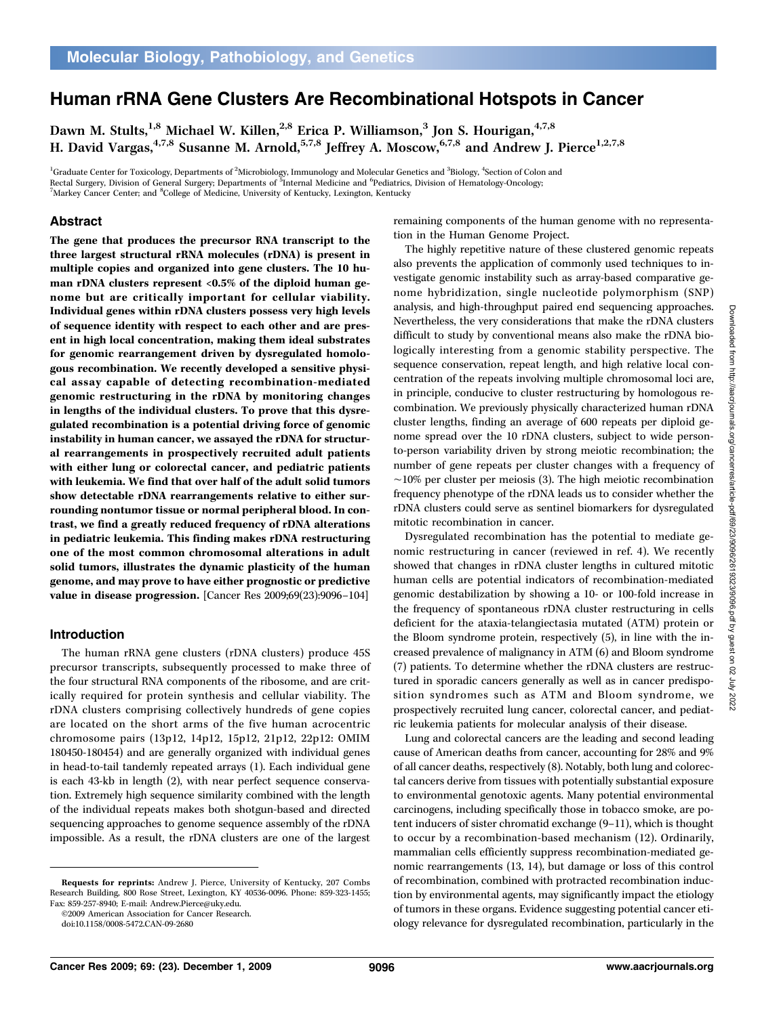# Human rRNA Gene Clusters Are Recombinational Hotspots in Cancer

Dawn M. Stults,<sup>1,8</sup> Michael W. Killen,<sup>2,8</sup> Erica P. Williamson,<sup>3</sup> Jon S. Hourigan,<sup>4,7,8</sup> H. David Vargas,  $4,7,8$  Susanne M. Arnold,  $5,7,8$  Jeffrey A. Moscow,  $6,7,8$  and Andrew J. Pierce<sup>1,2,7,8</sup>

<sup>1</sup>Graduate Center for Toxicology, Departments of <sup>2</sup>Microbiology, Immunology and Molecular Genetics and <sup>3</sup>Biology, <sup>4</sup>Section of Colon and Rectal Surgery, Division of General Surgery; Departments of <sup>8</sup>Internal Medicine and <sup>6</sup>Pediatrics, Division of Hematology-Oncology;<br><sup>7</sup>Markey Cancer Center, and <sup>8</sup>Cellege of Medicine, University of Kentucky, Lexington, K Markey Cancer Center; and <sup>8</sup>College of Medicine, University of Kentucky, Lexington, Kentucky

## Abstract

The gene that produces the precursor RNA transcript to the three largest structural rRNA molecules (rDNA) is present in multiple copies and organized into gene clusters. The 10 human rDNA clusters represent  $< 0.5\%$  of the diploid human genome but are critically important for cellular viability. Individual genes within rDNA clusters possess very high levels of sequence identity with respect to each other and are present in high local concentration, making them ideal substrates for genomic rearrangement driven by dysregulated homologous recombination. We recently developed a sensitive physical assay capable of detecting recombination-mediated genomic restructuring in the rDNA by monitoring changes in lengths of the individual clusters. To prove that this dysregulated recombination is a potential driving force of genomic instability in human cancer, we assayed the rDNA for structural rearrangements in prospectively recruited adult patients with either lung or colorectal cancer, and pediatric patients with leukemia. We find that over half of the adult solid tumors show detectable rDNA rearrangements relative to either surrounding nontumor tissue or normal peripheral blood. In contrast, we find a greatly reduced frequency of rDNA alterations in pediatric leukemia. This finding makes rDNA restructuring one of the most common chromosomal alterations in adult solid tumors, illustrates the dynamic plasticity of the human genome, and may prove to have either prognostic or predictive value in disease progression. [Cancer Res 2009;69(23):9096–104]

## Introduction

The human rRNA gene clusters (rDNA clusters) produce 45S precursor transcripts, subsequently processed to make three of the four structural RNA components of the ribosome, and are critically required for protein synthesis and cellular viability. The rDNA clusters comprising collectively hundreds of gene copies are located on the short arms of the five human acrocentric chromosome pairs (13p12, 14p12, 15p12, 21p12, 22p12: OMIM 180450-180454) and are generally organized with individual genes in head-to-tail tandemly repeated arrays (1). Each individual gene is each 43-kb in length (2), with near perfect sequence conservation. Extremely high sequence similarity combined with the length of the individual repeats makes both shotgun-based and directed sequencing approaches to genome sequence assembly of the rDNA impossible. As a result, the rDNA clusters are one of the largest

©2009 American Association for Cancer Research.

remaining components of the human genome with no representation in the Human Genome Project.

The highly repetitive nature of these clustered genomic repeats also prevents the application of commonly used techniques to investigate genomic instability such as array-based comparative genome hybridization, single nucleotide polymorphism (SNP) analysis, and high-throughput paired end sequencing approaches. Nevertheless, the very considerations that make the rDNA clusters difficult to study by conventional means also make the rDNA biologically interesting from a genomic stability perspective. The sequence conservation, repeat length, and high relative local concentration of the repeats involving multiple chromosomal loci are, in principle, conducive to cluster restructuring by homologous recombination. We previously physically characterized human rDNA cluster lengths, finding an average of 600 repeats per diploid genome spread over the 10 rDNA clusters, subject to wide personto-person variability driven by strong meiotic recombination; the number of gene repeats per cluster changes with a frequency of ∼10% per cluster per meiosis (3). The high meiotic recombination frequency phenotype of the rDNA leads us to consider whether the rDNA clusters could serve as sentinel biomarkers for dysregulated mitotic recombination in cancer.

Dysregulated recombination has the potential to mediate genomic restructuring in cancer (reviewed in ref. 4). We recently showed that changes in rDNA cluster lengths in cultured mitotic human cells are potential indicators of recombination-mediated genomic destabilization by showing a 10- or 100-fold increase in the frequency of spontaneous rDNA cluster restructuring in cells deficient for the ataxia-telangiectasia mutated (ATM) protein or the Bloom syndrome protein, respectively (5), in line with the increased prevalence of malignancy in ATM (6) and Bloom syndrome (7) patients. To determine whether the rDNA clusters are restructured in sporadic cancers generally as well as in cancer predisposition syndromes such as ATM and Bloom syndrome, we prospectively recruited lung cancer, colorectal cancer, and pediatric leukemia patients for molecular analysis of their disease.

Lung and colorectal cancers are the leading and second leading cause of American deaths from cancer, accounting for 28% and 9% of all cancer deaths, respectively (8). Notably, both lung and colorectal cancers derive from tissues with potentially substantial exposure to environmental genotoxic agents. Many potential environmental carcinogens, including specifically those in tobacco smoke, are potent inducers of sister chromatid exchange (9–11), which is thought to occur by a recombination-based mechanism (12). Ordinarily, mammalian cells efficiently suppress recombination-mediated genomic rearrangements (13, 14), but damage or loss of this control of recombination, combined with protracted recombination induction by environmental agents, may significantly impact the etiology of tumors in these organs. Evidence suggesting potential cancer etiology relevance for dysregulated recombination, particularly in the

Requests for reprints: Andrew J. Pierce, University of Kentucky, 207 Combs Research Building, 800 Rose Street, Lexington, KY 40536-0096. Phone: 859-323-1455; Fax: 859-257-8940; E-mail: Andrew.Pierce@uky.edu.

doi:10.1158/0008-5472.CAN-09-2680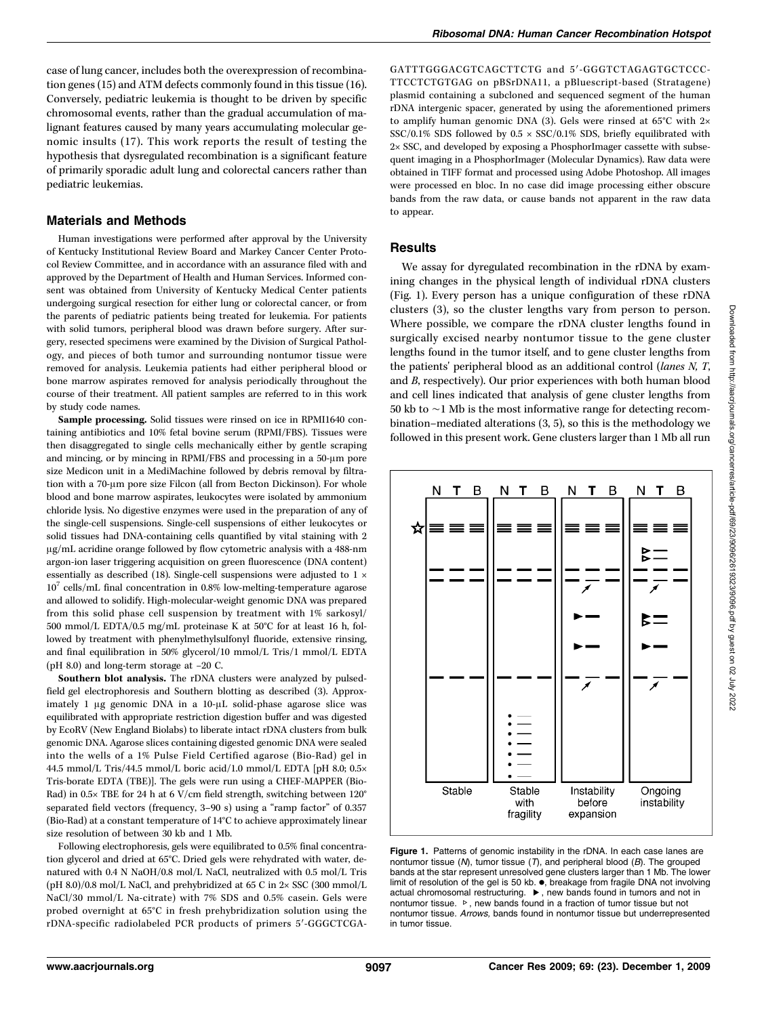## Materials and Methods

Human investigations were performed after approval by the University of Kentucky Institutional Review Board and Markey Cancer Center Protocol Review Committee, and in accordance with an assurance filed with and approved by the Department of Health and Human Services. Informed consent was obtained from University of Kentucky Medical Center patients undergoing surgical resection for either lung or colorectal cancer, or from the parents of pediatric patients being treated for leukemia. For patients with solid tumors, peripheral blood was drawn before surgery. After surgery, resected specimens were examined by the Division of Surgical Pathology, and pieces of both tumor and surrounding nontumor tissue were removed for analysis. Leukemia patients had either peripheral blood or bone marrow aspirates removed for analysis periodically throughout the course of their treatment. All patient samples are referred to in this work by study code names.

Sample processing. Solid tissues were rinsed on ice in RPMI1640 containing antibiotics and 10% fetal bovine serum (RPMI/FBS). Tissues were then disaggregated to single cells mechanically either by gentle scraping and mincing, or by mincing in RPMI/FBS and processing in a 50-μm pore size Medicon unit in a MediMachine followed by debris removal by filtration with a 70-μm pore size Filcon (all from Becton Dickinson). For whole blood and bone marrow aspirates, leukocytes were isolated by ammonium chloride lysis. No digestive enzymes were used in the preparation of any of the single-cell suspensions. Single-cell suspensions of either leukocytes or solid tissues had DNA-containing cells quantified by vital staining with 2 μg/mL acridine orange followed by flow cytometric analysis with a 488-nm argon-ion laser triggering acquisition on green fluorescence (DNA content) essentially as described (18). Single-cell suspensions were adjusted to  $1 \times$  $10^7$  cells/mL final concentration in 0.8% low-melting-temperature agarose and allowed to solidify. High-molecular-weight genomic DNA was prepared from this solid phase cell suspension by treatment with 1% sarkosyl/ 500 mmol/L EDTA/0.5 mg/mL proteinase K at 50°C for at least 16 h, followed by treatment with phenylmethylsulfonyl fluoride, extensive rinsing, and final equilibration in 50% glycerol/10 mmol/L Tris/1 mmol/L EDTA (pH 8.0) and long-term storage at −20 C.

Southern blot analysis. The rDNA clusters were analyzed by pulsedfield gel electrophoresis and Southern blotting as described (3). Approximately 1 μg genomic DNA in a 10-μL solid-phase agarose slice was equilibrated with appropriate restriction digestion buffer and was digested by EcoRV (New England Biolabs) to liberate intact rDNA clusters from bulk genomic DNA. Agarose slices containing digested genomic DNA were sealed into the wells of a 1% Pulse Field Certified agarose (Bio-Rad) gel in 44.5 mmol/L Tris/44.5 mmol/L boric acid/1.0 mmol/L EDTA [pH 8.0; 0.5× Tris-borate EDTA (TBE)]. The gels were run using a CHEF-MAPPER (Bio-Rad) in 0.5× TBE for 24 h at 6 V/cm field strength, switching between 120° separated field vectors (frequency, 3–90 s) using a "ramp factor" of 0.357 (Bio-Rad) at a constant temperature of 14°C to achieve approximately linear size resolution of between 30 kb and 1 Mb.

Following electrophoresis, gels were equilibrated to 0.5% final concentration glycerol and dried at 65°C. Dried gels were rehydrated with water, denatured with 0.4 N NaOH/0.8 mol/L NaCl, neutralized with 0.5 mol/L Tris (pH 8.0)/0.8 mol/L NaCl, and prehybridized at 65 C in 2× SSC (300 mmol/L NaCl/30 mmol/L Na-citrate) with 7% SDS and 0.5% casein. Gels were probed overnight at 65°C in fresh prehybridization solution using the rDNA-specific radiolabeled PCR products of primers 5′-GGGCTCGA-

GATTTGGGACGTCAGCTTCTG and 5′-GGGTCTAGAGTGCTCCC-TTCCTCTGTGAG on pBSrDNA11, a pBluescript-based (Stratagene) plasmid containing a subcloned and sequenced segment of the human rDNA intergenic spacer, generated by using the aforementioned primers to amplify human genomic DNA (3). Gels were rinsed at 65°C with 2× SSC/0.1% SDS followed by  $0.5 \times$  SSC/0.1% SDS, briefly equilibrated with 2× SSC, and developed by exposing a PhosphorImager cassette with subsequent imaging in a PhosphorImager (Molecular Dynamics). Raw data were obtained in TIFF format and processed using Adobe Photoshop. All images were processed en bloc. In no case did image processing either obscure bands from the raw data, or cause bands not apparent in the raw data to appear.

#### Results

We assay for dyregulated recombination in the rDNA by examining changes in the physical length of individual rDNA clusters (Fig. 1). Every person has a unique configuration of these rDNA clusters (3), so the cluster lengths vary from person to person. Where possible, we compare the rDNA cluster lengths found in surgically excised nearby nontumor tissue to the gene cluster lengths found in the tumor itself, and to gene cluster lengths from the patients' peripheral blood as an additional control (lanes N, T, and B, respectively). Our prior experiences with both human blood and cell lines indicated that analysis of gene cluster lengths from 50 kb to ∼1 Mb is the most informative range for detecting recombination–mediated alterations (3, 5), so this is the methodology we followed in this present work. Gene clusters larger than 1 Mb all run



Figure 1. Patterns of genomic instability in the rDNA. In each case lanes are nontumor tissue ( $M$ ), tumor tissue ( $T$ ), and peripheral blood ( $B$ ). The grouped bands at the star represent unresolved gene clusters larger than 1 Mb. The lower limit of resolution of the gel is 50 kb. ., breakage from fragile DNA not involving actual chromosomal restructuring. ▸, new bands found in tumors and not in nontumor tissue. ▹, new bands found in a fraction of tumor tissue but not nontumor tissue. Arrows, bands found in nontumor tissue but underrepresented in tumor tissue.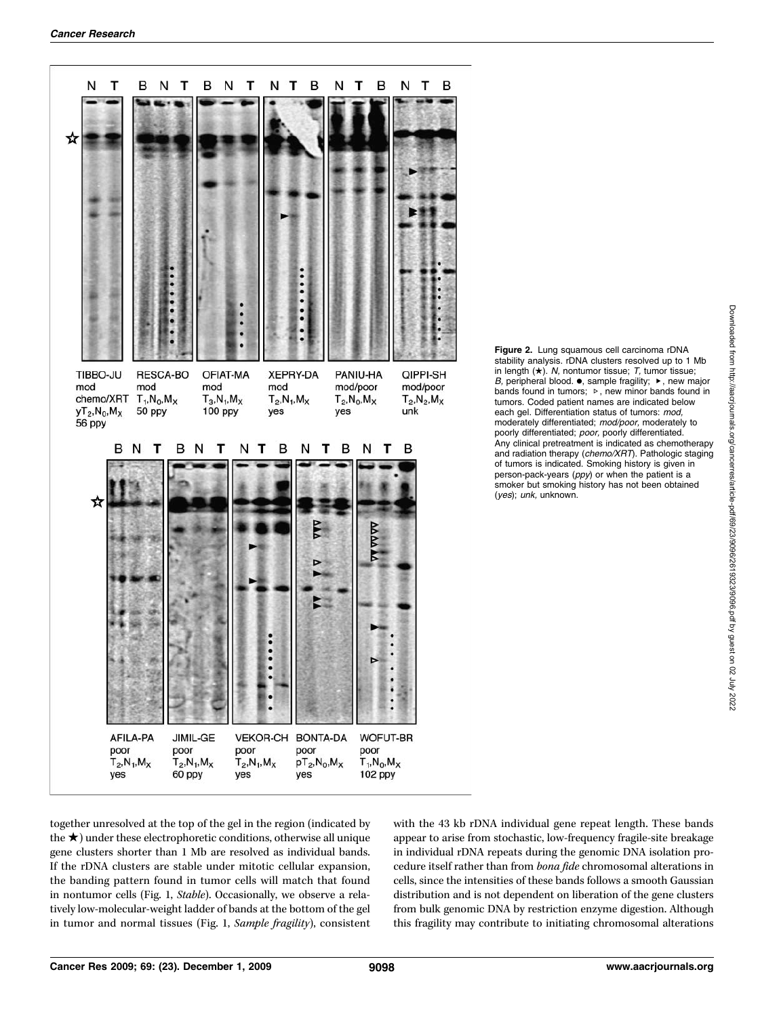

Figure 2. Lung squamous cell carcinoma rDNA stability analysis. rDNA clusters resolved up to 1 Mb in length  $(\star)$ . N, nontumor tissue; T, tumor tissue; B, peripheral blood.  $\bullet$ , sample fragility;  $\blacktriangleright$ , new major bands found in tumors; ▹, new minor bands found in tumors. Coded patient names are indicated below each gel. Differentiation status of tumors: mod, moderately differentiated; mod/poor, moderately to poorly differentiated; poor, poorly differentiated. Any clinical pretreatment is indicated as chemotherapy and radiation therapy (chemo/XRT). Pathologic staging of tumors is indicated. Smoking history is given in person-pack-years (ppy) or when the patient is a smoker but smoking history has not been obtained (yes); unk, unknown.

together unresolved at the top of the gel in the region (indicated by the  $\star$ ) under these electrophoretic conditions, otherwise all unique gene clusters shorter than 1 Mb are resolved as individual bands. If the rDNA clusters are stable under mitotic cellular expansion, the banding pattern found in tumor cells will match that found in nontumor cells (Fig. 1, Stable). Occasionally, we observe a relatively low-molecular-weight ladder of bands at the bottom of the gel in tumor and normal tissues (Fig. 1, Sample fragility), consistent

with the 43 kb rDNA individual gene repeat length. These bands appear to arise from stochastic, low-frequency fragile-site breakage in individual rDNA repeats during the genomic DNA isolation procedure itself rather than from bona fide chromosomal alterations in cells, since the intensities of these bands follows a smooth Gaussian distribution and is not dependent on liberation of the gene clusters from bulk genomic DNA by restriction enzyme digestion. Although this fragility may contribute to initiating chromosomal alterations Downloaded from http://aacrjournals.org/cancerres/article-pdf/69/23/9096/2619323/9096.pdf by guest on 02 July 2022

Downloaded from http://aacrjournals.org/cancerres/article-pdf/69/23/9096/2619323/9096.pdf by guest on 02 July 2022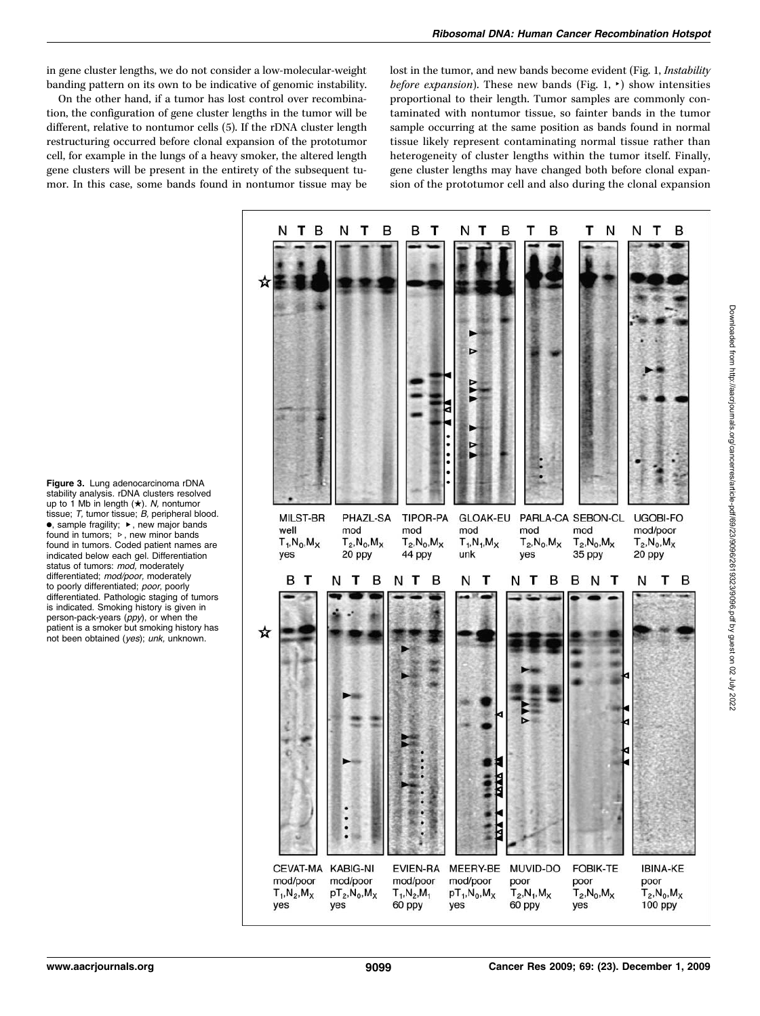in gene cluster lengths, we do not consider a low-molecular-weight banding pattern on its own to be indicative of genomic instability.

On the other hand, if a tumor has lost control over recombination, the configuration of gene cluster lengths in the tumor will be different, relative to nontumor cells (5). If the rDNA cluster length restructuring occurred before clonal expansion of the prototumor cell, for example in the lungs of a heavy smoker, the altered length gene clusters will be present in the entirety of the subsequent tumor. In this case, some bands found in nontumor tissue may be lost in the tumor, and new bands become evident (Fig. 1, Instability before expansion). These new bands (Fig. 1,  $\rightarrow$ ) show intensities proportional to their length. Tumor samples are commonly contaminated with nontumor tissue, so fainter bands in the tumor sample occurring at the same position as bands found in normal tissue likely represent contaminating normal tissue rather than heterogeneity of cluster lengths within the tumor itself. Finally, gene cluster lengths may have changed both before clonal expansion of the prototumor cell and also during the clonal expansion



Figure 3. Lung adenocarcinoma rDNA stability analysis. rDNA clusters resolved up to 1 Mb in length (★). N, nontumor tissue; T, tumor tissue; B, peripheral blood. •, sample fragility; ▸, new major bands found in tumors; ▹, new minor bands found in tumors. Coded patient names are indicated below each gel. Differentiation status of tumors: mod. moderately differentiated; mod/poor, moderately to poorly differentiated; poor, poorly differentiated. Pathologic staging of tumors is indicated. Smoking history is given in person-pack-years (ppy), or when the patient is a smoker but smoking history has not been obtained (yes); unk, unknown.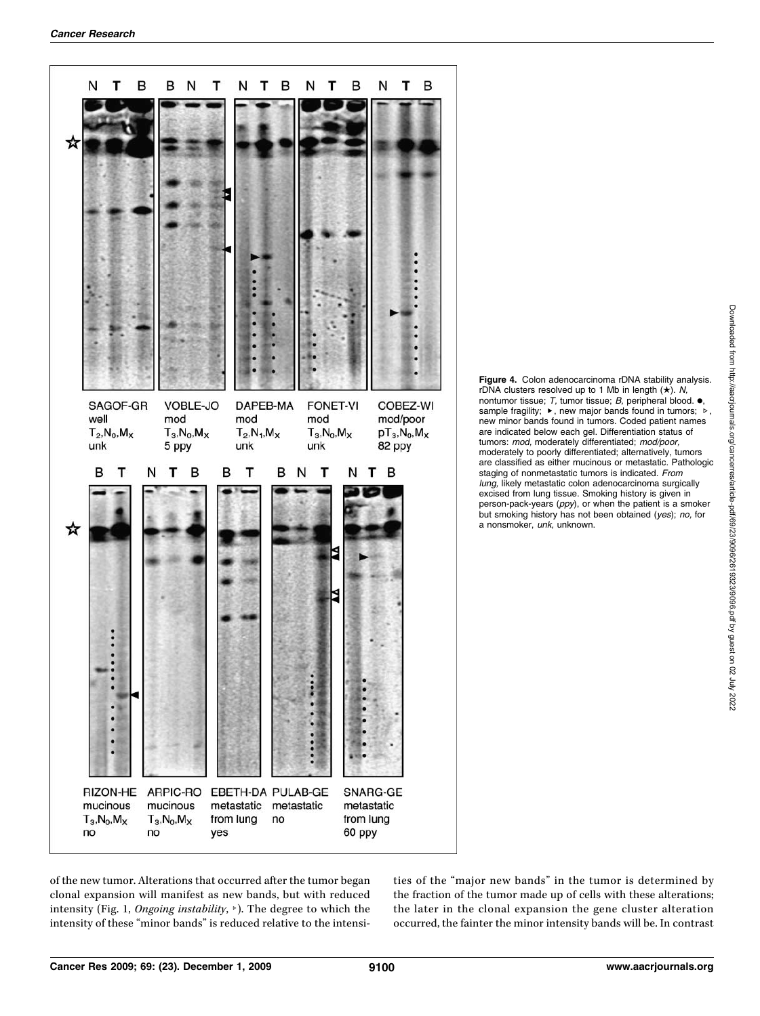

Figure 4. Colon adenocarcinoma rDNA stability analysis. rDNA clusters resolved up to 1 Mb in length  $(\star)$ . N, nontumor tissue; T, tumor tissue; B, peripheral blood.  $\bullet$ sample fragility; ▶, new major bands found in tumors; ▷, new minor bands found in tumors. Coded patient names are indicated below each gel. Differentiation status of tumors: mod, moderately differentiated; mod/poor, moderately to poorly differentiated; alternatively, tumors are classified as either mucinous or metastatic. Pathologic staging of nonmetastatic tumors is indicated. From lung, likely metastatic colon adenocarcinoma surgically excised from lung tissue. Smoking history is given in person-pack-years (ppy), or when the patient is a smoker but smoking history has not been obtained (yes); no, for a nonsmoker, unk, unknown.

of the new tumor. Alterations that occurred after the tumor began clonal expansion will manifest as new bands, but with reduced intensity (Fig. 1, Ongoing instability, ▹). The degree to which the intensity of these "minor bands" is reduced relative to the intensities of the "major new bands" in the tumor is determined by the fraction of the tumor made up of cells with these alterations; the later in the clonal expansion the gene cluster alteration occurred, the fainter the minor intensity bands will be. In contrast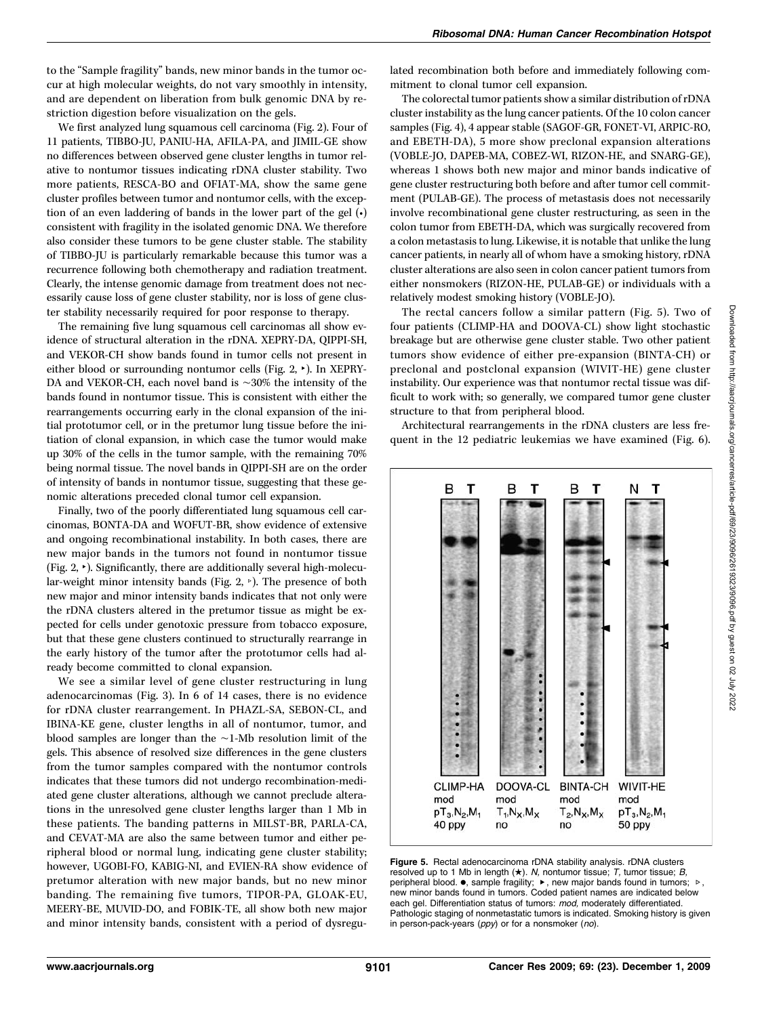to the "Sample fragility" bands, new minor bands in the tumor occur at high molecular weights, do not vary smoothly in intensity, and are dependent on liberation from bulk genomic DNA by restriction digestion before visualization on the gels.

We first analyzed lung squamous cell carcinoma (Fig. 2). Four of 11 patients, TIBBO-JU, PANIU-HA, AFILA-PA, and JIMIL-GE show no differences between observed gene cluster lengths in tumor relative to nontumor tissues indicating rDNA cluster stability. Two more patients, RESCA-BO and OFIAT-MA, show the same gene cluster profiles between tumor and nontumor cells, with the exception of an even laddering of bands in the lower part of the gel (•) consistent with fragility in the isolated genomic DNA. We therefore also consider these tumors to be gene cluster stable. The stability of TIBBO-JU is particularly remarkable because this tumor was a recurrence following both chemotherapy and radiation treatment. Clearly, the intense genomic damage from treatment does not necessarily cause loss of gene cluster stability, nor is loss of gene cluster stability necessarily required for poor response to therapy.

The remaining five lung squamous cell carcinomas all show evidence of structural alteration in the rDNA. XEPRY-DA, QIPPI-SH, and VEKOR-CH show bands found in tumor cells not present in either blood or surrounding nontumor cells (Fig. 2, ▸). In XEPRY-DA and VEKOR-CH, each novel band is ∼30% the intensity of the bands found in nontumor tissue. This is consistent with either the rearrangements occurring early in the clonal expansion of the initial prototumor cell, or in the pretumor lung tissue before the initiation of clonal expansion, in which case the tumor would make up 30% of the cells in the tumor sample, with the remaining 70% being normal tissue. The novel bands in QIPPI-SH are on the order of intensity of bands in nontumor tissue, suggesting that these genomic alterations preceded clonal tumor cell expansion.

Finally, two of the poorly differentiated lung squamous cell carcinomas, BONTA-DA and WOFUT-BR, show evidence of extensive and ongoing recombinational instability. In both cases, there are new major bands in the tumors not found in nontumor tissue (Fig. 2,  $\cdot$ ). Significantly, there are additionally several high-molecular-weight minor intensity bands (Fig. 2, ▹). The presence of both new major and minor intensity bands indicates that not only were the rDNA clusters altered in the pretumor tissue as might be expected for cells under genotoxic pressure from tobacco exposure, but that these gene clusters continued to structurally rearrange in the early history of the tumor after the prototumor cells had already become committed to clonal expansion.

We see a similar level of gene cluster restructuring in lung adenocarcinomas (Fig. 3). In 6 of 14 cases, there is no evidence for rDNA cluster rearrangement. In PHAZL-SA, SEBON-CL, and IBINA-KE gene, cluster lengths in all of nontumor, tumor, and blood samples are longer than the ∼1-Mb resolution limit of the gels. This absence of resolved size differences in the gene clusters from the tumor samples compared with the nontumor controls indicates that these tumors did not undergo recombination-mediated gene cluster alterations, although we cannot preclude alterations in the unresolved gene cluster lengths larger than 1 Mb in these patients. The banding patterns in MILST-BR, PARLA-CA, and CEVAT-MA are also the same between tumor and either peripheral blood or normal lung, indicating gene cluster stability; however, UGOBI-FO, KABIG-NI, and EVIEN-RA show evidence of pretumor alteration with new major bands, but no new minor banding. The remaining five tumors, TIPOR-PA, GLOAK-EU, MEERY-BE, MUVID-DO, and FOBIK-TE, all show both new major and minor intensity bands, consistent with a period of dysregulated recombination both before and immediately following commitment to clonal tumor cell expansion.

The colorectal tumor patients show a similar distribution of rDNA cluster instability as the lung cancer patients. Of the 10 colon cancer samples (Fig. 4), 4 appear stable (SAGOF-GR, FONET-VI, ARPIC-RO, and EBETH-DA), 5 more show preclonal expansion alterations (VOBLE-JO, DAPEB-MA, COBEZ-WI, RIZON-HE, and SNARG-GE), whereas 1 shows both new major and minor bands indicative of gene cluster restructuring both before and after tumor cell commitment (PULAB-GE). The process of metastasis does not necessarily involve recombinational gene cluster restructuring, as seen in the colon tumor from EBETH-DA, which was surgically recovered from a colon metastasis to lung. Likewise, it is notable that unlike the lung cancer patients, in nearly all of whom have a smoking history, rDNA cluster alterations are also seen in colon cancer patient tumors from either nonsmokers (RIZON-HE, PULAB-GE) or individuals with a relatively modest smoking history (VOBLE-JO).

The rectal cancers follow a similar pattern (Fig. 5). Two of four patients (CLIMP-HA and DOOVA-CL) show light stochastic breakage but are otherwise gene cluster stable. Two other patient tumors show evidence of either pre-expansion (BINTA-CH) or preclonal and postclonal expansion (WIVIT-HE) gene cluster instability. Our experience was that nontumor rectal tissue was difficult to work with; so generally, we compared tumor gene cluster structure to that from peripheral blood.

Architectural rearrangements in the rDNA clusters are less frequent in the 12 pediatric leukemias we have examined (Fig. 6).



Figure 5. Rectal adenocarcinoma rDNA stability analysis. rDNA clusters resolved up to 1 Mb in length  $(\star)$ . N, nontumor tissue; T, tumor tissue; B, peripheral blood. •, sample fragility; ▶, new major bands found in tumors; ▷, new minor bands found in tumors. Coded patient names are indicated below each gel. Differentiation status of tumors: mod, moderately differentiated. Pathologic staging of nonmetastatic tumors is indicated. Smoking history is given in person-pack-years (ppy) or for a nonsmoker (no).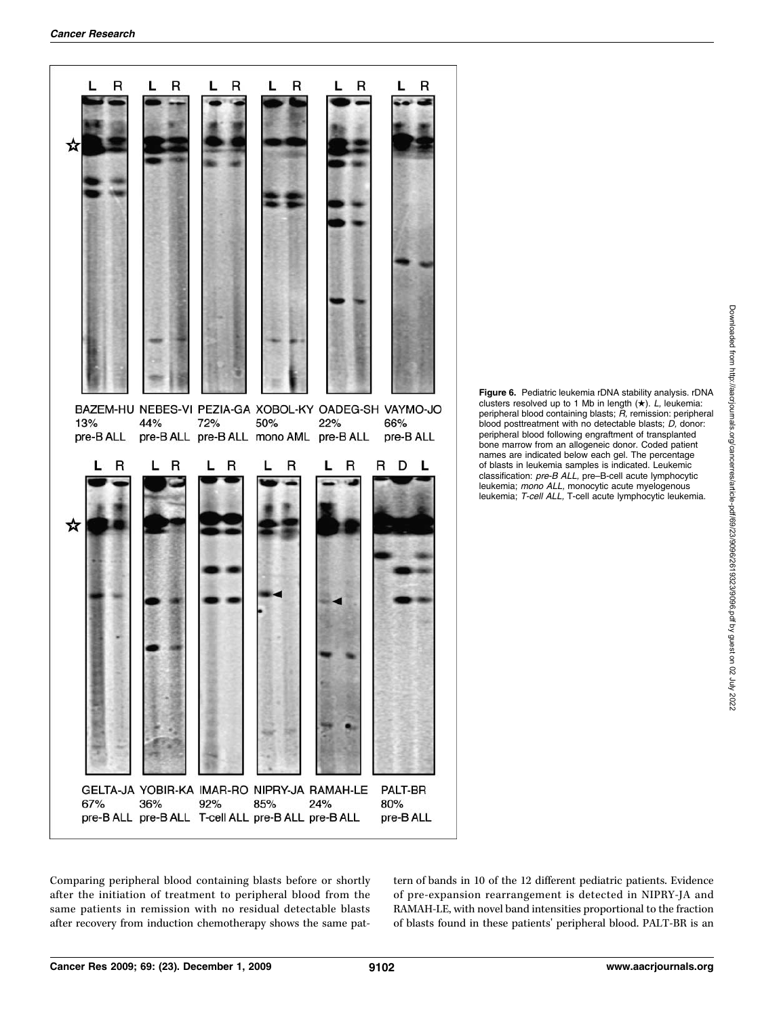

Figure 6. Pediatric leukemia rDNA stability analysis. rDNA clusters resolved up to 1 Mb in length  $(\star)$ . L, leukemia: peripheral blood containing blasts; R, remission: peripheral blood posttreatment with no detectable blasts; D, donor: peripheral blood following engraftment of transplanted bone marrow from an allogeneic donor. Coded patient names are indicated below each gel. The percentage of blasts in leukemia samples is indicated. Leukemic classification: pre-B ALL, pre–B-cell acute lymphocytic leukemia; mono ALL, monocytic acute myelogenous leukemia; T-cell ALL, T-cell acute lymphocytic leukemia.

Comparing peripheral blood containing blasts before or shortly after the initiation of treatment to peripheral blood from the same patients in remission with no residual detectable blasts after recovery from induction chemotherapy shows the same pattern of bands in 10 of the 12 different pediatric patients. Evidence of pre-expansion rearrangement is detected in NIPRY-JA and RAMAH-LE, with novel band intensities proportional to the fraction of blasts found in these patients' peripheral blood. PALT-BR is an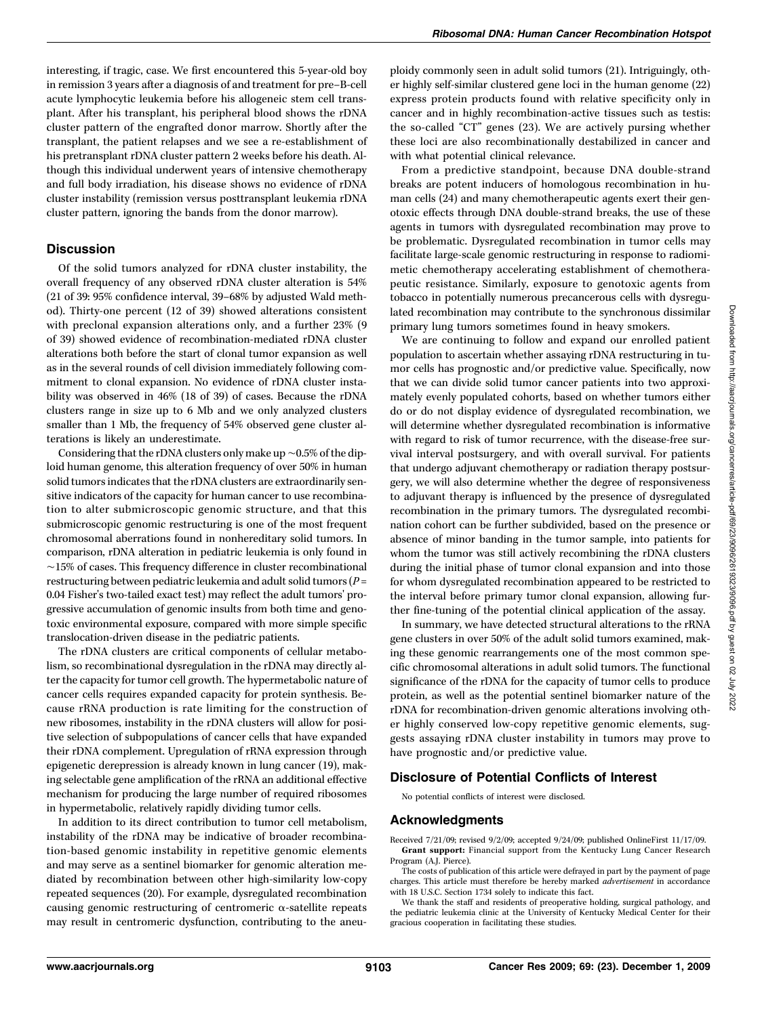interesting, if tragic, case. We first encountered this 5-year-old boy in remission 3 years after a diagnosis of and treatment for pre–B-cell acute lymphocytic leukemia before his allogeneic stem cell transplant. After his transplant, his peripheral blood shows the rDNA cluster pattern of the engrafted donor marrow. Shortly after the transplant, the patient relapses and we see a re-establishment of his pretransplant rDNA cluster pattern 2 weeks before his death. Although this individual underwent years of intensive chemotherapy and full body irradiation, his disease shows no evidence of rDNA cluster instability (remission versus posttransplant leukemia rDNA cluster pattern, ignoring the bands from the donor marrow).

## **Discussion**

Of the solid tumors analyzed for rDNA cluster instability, the overall frequency of any observed rDNA cluster alteration is 54% (21 of 39: 95% confidence interval, 39–68% by adjusted Wald method). Thirty-one percent (12 of 39) showed alterations consistent with preclonal expansion alterations only, and a further 23% (9 of 39) showed evidence of recombination-mediated rDNA cluster alterations both before the start of clonal tumor expansion as well as in the several rounds of cell division immediately following commitment to clonal expansion. No evidence of rDNA cluster instability was observed in 46% (18 of 39) of cases. Because the rDNA clusters range in size up to 6 Mb and we only analyzed clusters smaller than 1 Mb, the frequency of 54% observed gene cluster alterations is likely an underestimate.

Considering that the rDNA clusters only make up ∼0.5% of the diploid human genome, this alteration frequency of over 50% in human solid tumors indicates that the rDNA clusters are extraordinarily sensitive indicators of the capacity for human cancer to use recombination to alter submicroscopic genomic structure, and that this submicroscopic genomic restructuring is one of the most frequent chromosomal aberrations found in nonhereditary solid tumors. In comparison, rDNA alteration in pediatric leukemia is only found in ∼15% of cases. This frequency difference in cluster recombinational restructuring between pediatric leukemia and adult solid tumors ( $P =$ 0.04 Fisher's two-tailed exact test) may reflect the adult tumors' progressive accumulation of genomic insults from both time and genotoxic environmental exposure, compared with more simple specific translocation-driven disease in the pediatric patients.

The rDNA clusters are critical components of cellular metabolism, so recombinational dysregulation in the rDNA may directly alter the capacity for tumor cell growth. The hypermetabolic nature of cancer cells requires expanded capacity for protein synthesis. Because rRNA production is rate limiting for the construction of new ribosomes, instability in the rDNA clusters will allow for positive selection of subpopulations of cancer cells that have expanded their rDNA complement. Upregulation of rRNA expression through epigenetic derepression is already known in lung cancer (19), making selectable gene amplification of the rRNA an additional effective mechanism for producing the large number of required ribosomes in hypermetabolic, relatively rapidly dividing tumor cells.

In addition to its direct contribution to tumor cell metabolism, instability of the rDNA may be indicative of broader recombination-based genomic instability in repetitive genomic elements and may serve as a sentinel biomarker for genomic alteration mediated by recombination between other high-similarity low-copy repeated sequences (20). For example, dysregulated recombination causing genomic restructuring of centromeric α-satellite repeats may result in centromeric dysfunction, contributing to the aneuploidy commonly seen in adult solid tumors (21). Intriguingly, other highly self-similar clustered gene loci in the human genome (22) express protein products found with relative specificity only in cancer and in highly recombination-active tissues such as testis: the so-called "CT" genes (23). We are actively pursing whether these loci are also recombinationally destabilized in cancer and with what potential clinical relevance.

From a predictive standpoint, because DNA double-strand breaks are potent inducers of homologous recombination in human cells (24) and many chemotherapeutic agents exert their genotoxic effects through DNA double-strand breaks, the use of these agents in tumors with dysregulated recombination may prove to be problematic. Dysregulated recombination in tumor cells may facilitate large-scale genomic restructuring in response to radiomimetic chemotherapy accelerating establishment of chemotherapeutic resistance. Similarly, exposure to genotoxic agents from tobacco in potentially numerous precancerous cells with dysregulated recombination may contribute to the synchronous dissimilar primary lung tumors sometimes found in heavy smokers.

We are continuing to follow and expand our enrolled patient population to ascertain whether assaying rDNA restructuring in tumor cells has prognostic and/or predictive value. Specifically, now that we can divide solid tumor cancer patients into two approximately evenly populated cohorts, based on whether tumors either do or do not display evidence of dysregulated recombination, we will determine whether dysregulated recombination is informative with regard to risk of tumor recurrence, with the disease-free survival interval postsurgery, and with overall survival. For patients that undergo adjuvant chemotherapy or radiation therapy postsurgery, we will also determine whether the degree of responsiveness to adjuvant therapy is influenced by the presence of dysregulated recombination in the primary tumors. The dysregulated recombination cohort can be further subdivided, based on the presence or absence of minor banding in the tumor sample, into patients for whom the tumor was still actively recombining the rDNA clusters during the initial phase of tumor clonal expansion and into those for whom dysregulated recombination appeared to be restricted to the interval before primary tumor clonal expansion, allowing further fine-tuning of the potential clinical application of the assay.

In summary, we have detected structural alterations to the rRNA gene clusters in over 50% of the adult solid tumors examined, making these genomic rearrangements one of the most common specific chromosomal alterations in adult solid tumors. The functional significance of the rDNA for the capacity of tumor cells to produce protein, as well as the potential sentinel biomarker nature of the rDNA for recombination-driven genomic alterations involving other highly conserved low-copy repetitive genomic elements, suggests assaying rDNA cluster instability in tumors may prove to have prognostic and/or predictive value.

#### Disclosure of Potential Conflicts of Interest

No potential conflicts of interest were disclosed.

# Acknowledgments

Received 7/21/09; revised 9/2/09; accepted 9/24/09; published OnlineFirst 11/17/09. Grant support: Financial support from the Kentucky Lung Cancer Research Program (A.J. Pierce).

The costs of publication of this article were defrayed in part by the payment of page charges. This article must therefore be hereby marked advertisement in accordance with 18 U.S.C. Section 1734 solely to indicate this fact.

We thank the staff and residents of preoperative holding, surgical pathology, and the pediatric leukemia clinic at the University of Kentucky Medical Center for their gracious cooperation in facilitating these studies.